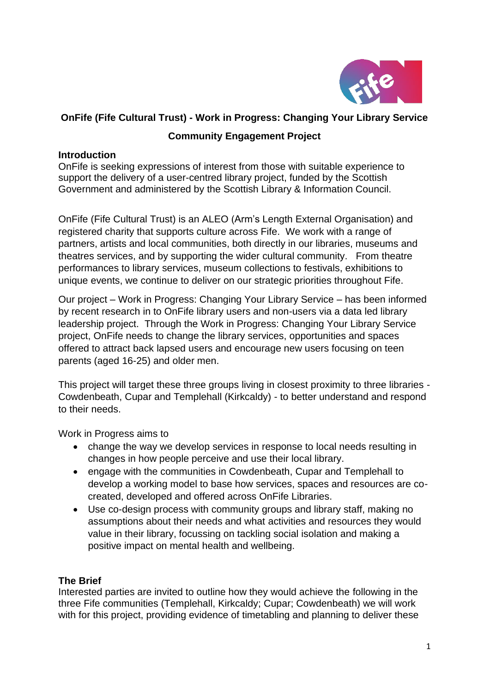

# **OnFife (Fife Cultural Trust) - Work in Progress: Changing Your Library Service**

# **Community Engagement Project**

### **Introduction**

OnFife is seeking expressions of interest from those with suitable experience to support the delivery of a user-centred library project, funded by the Scottish Government and administered by the Scottish Library & Information Council.

OnFife (Fife Cultural Trust) is an ALEO (Arm's Length External Organisation) and registered charity that supports culture across Fife. We work with a range of partners, artists and local communities, both directly in our libraries, museums and theatres services, and by supporting the wider cultural community. From theatre performances to library services, museum collections to festivals, exhibitions to unique events, we continue to deliver on our strategic priorities throughout Fife.

Our project – Work in Progress: Changing Your Library Service – has been informed by recent research in to OnFife library users and non-users via a data led library leadership project. Through the Work in Progress: Changing Your Library Service project, OnFife needs to change the library services, opportunities and spaces offered to attract back lapsed users and encourage new users focusing on teen parents (aged 16-25) and older men.

This project will target these three groups living in closest proximity to three libraries - Cowdenbeath, Cupar and Templehall (Kirkcaldy) - to better understand and respond to their needs.

Work in Progress aims to

- change the way we develop services in response to local needs resulting in changes in how people perceive and use their local library.
- engage with the communities in Cowdenbeath, Cupar and Templehall to develop a working model to base how services, spaces and resources are cocreated, developed and offered across OnFife Libraries.
- Use co-design process with community groups and library staff, making no assumptions about their needs and what activities and resources they would value in their library, focussing on tackling social isolation and making a positive impact on mental health and wellbeing.

## **The Brief**

Interested parties are invited to outline how they would achieve the following in the three Fife communities (Templehall, Kirkcaldy; Cupar; Cowdenbeath) we will work with for this project, providing evidence of timetabling and planning to deliver these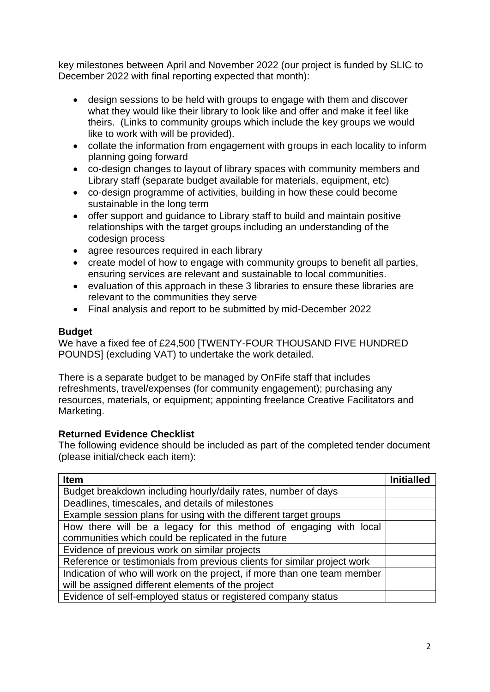key milestones between April and November 2022 (our project is funded by SLIC to December 2022 with final reporting expected that month):

- design sessions to be held with groups to engage with them and discover what they would like their library to look like and offer and make it feel like theirs. (Links to community groups which include the key groups we would like to work with will be provided).
- collate the information from engagement with groups in each locality to inform planning going forward
- co-design changes to layout of library spaces with community members and Library staff (separate budget available for materials, equipment, etc)
- co-design programme of activities, building in how these could become sustainable in the long term
- offer support and guidance to Library staff to build and maintain positive relationships with the target groups including an understanding of the codesign process
- agree resources required in each library
- create model of how to engage with community groups to benefit all parties, ensuring services are relevant and sustainable to local communities.
- evaluation of this approach in these 3 libraries to ensure these libraries are relevant to the communities they serve
- Final analysis and report to be submitted by mid-December 2022

#### **Budget**

We have a fixed fee of £24,500 [TWENTY-FOUR THOUSAND FIVE HUNDRED POUNDS] (excluding VAT) to undertake the work detailed.

There is a separate budget to be managed by OnFife staff that includes refreshments, travel/expenses (for community engagement); purchasing any resources, materials, or equipment; appointing freelance Creative Facilitators and Marketing.

#### **Returned Evidence Checklist**

The following evidence should be included as part of the completed tender document (please initial/check each item):

| <b>Item</b>                                                              | <b>Initialled</b> |
|--------------------------------------------------------------------------|-------------------|
| Budget breakdown including hourly/daily rates, number of days            |                   |
| Deadlines, timescales, and details of milestones                         |                   |
| Example session plans for using with the different target groups         |                   |
| How there will be a legacy for this method of engaging with local        |                   |
| communities which could be replicated in the future                      |                   |
| Evidence of previous work on similar projects                            |                   |
| Reference or testimonials from previous clients for similar project work |                   |
| Indication of who will work on the project, if more than one team member |                   |
| will be assigned different elements of the project                       |                   |
| Evidence of self-employed status or registered company status            |                   |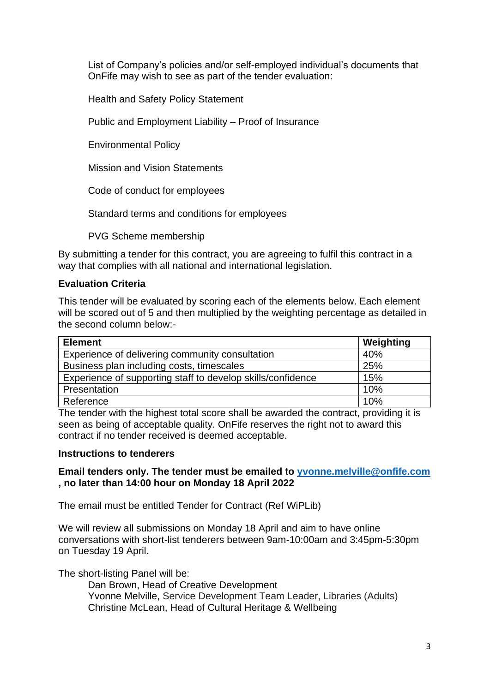List of Company's policies and/or self-employed individual's documents that OnFife may wish to see as part of the tender evaluation:

Health and Safety Policy Statement

Public and Employment Liability – Proof of Insurance

Environmental Policy

Mission and Vision Statements

Code of conduct for employees

Standard terms and conditions for employees

PVG Scheme membership

By submitting a tender for this contract, you are agreeing to fulfil this contract in a way that complies with all national and international legislation.

#### **Evaluation Criteria**

This tender will be evaluated by scoring each of the elements below. Each element will be scored out of 5 and then multiplied by the weighting percentage as detailed in the second column below:-

| <b>Element</b>                                              | Weighting |
|-------------------------------------------------------------|-----------|
| Experience of delivering community consultation             | 40%       |
| Business plan including costs, timescales                   | 25%       |
| Experience of supporting staff to develop skills/confidence | 15%       |
| Presentation                                                | 10%       |
| Reference                                                   | 10%       |

The tender with the highest total score shall be awarded the contract, providing it is seen as being of acceptable quality. OnFife reserves the right not to award this contract if no tender received is deemed acceptable.

#### **Instructions to tenderers**

#### **Email tenders only. The tender must be emailed to [yvonne.melville@onfife.com](mailto:yvonne.melville@onfife.com) , no later than 14:00 hour on Monday 18 April 2022**

The email must be entitled Tender for Contract (Ref WiPLib)

We will review all submissions on Monday 18 April and aim to have online conversations with short-list tenderers between 9am-10:00am and 3:45pm-5:30pm on Tuesday 19 April.

The short-listing Panel will be:

Dan Brown, Head of Creative Development Yvonne Melville, Service Development Team Leader, Libraries (Adults) Christine McLean, Head of Cultural Heritage & Wellbeing